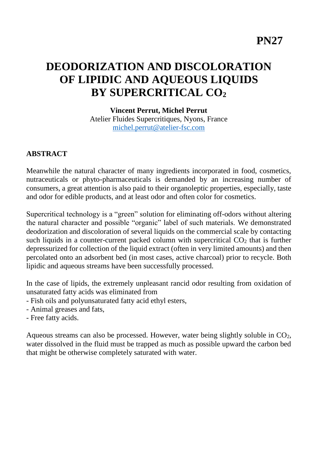# **DEODORIZATION AND DISCOLORATION OF LIPIDIC AND AQUEOUS LIQUIDS BY SUPERCRITICAL CO<sup>2</sup>**

**Vincent Perrut, Michel Perrut** Atelier Fluides Supercritiques, Nyons, France [michel.perrut@atelier-fsc.com](mailto:michel.perrut@atelier-fsc.com)

#### **ABSTRACT**

Meanwhile the natural character of many ingredients incorporated in food, cosmetics, nutraceuticals or phyto-pharmaceuticals is demanded by an increasing number of consumers, a great attention is also paid to their organoleptic properties, especially, taste and odor for edible products, and at least odor and often color for cosmetics.

Supercritical technology is a "green" solution for eliminating off-odors without altering the natural character and possible "organic" label of such materials. We demonstrated deodorization and discoloration of several liquids on the commercial scale by contacting such liquids in a counter-current packed column with supercritical  $CO<sub>2</sub>$  that is further depressurized for collection of the liquid extract (often in very limited amounts) and then percolated onto an adsorbent bed (in most cases, active charcoal) prior to recycle. Both lipidic and aqueous streams have been successfully processed.

In the case of lipids, the extremely unpleasant rancid odor resulting from oxidation of unsaturated fatty acids was eliminated from

- Fish oils and polyunsaturated fatty acid ethyl esters,
- Animal greases and fats,
- Free fatty acids.

Aqueous streams can also be processed. However, water being slightly soluble in  $CO<sub>2</sub>$ , water dissolved in the fluid must be trapped as much as possible upward the carbon bed that might be otherwise completely saturated with water.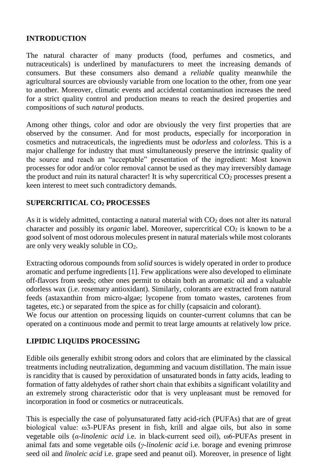## **INTRODUCTION**

The natural character of many products (food, perfumes and cosmetics, and nutraceuticals) is underlined by manufacturers to meet the increasing demands of consumers. But these consumers also demand a *reliable* quality meanwhile the agricultural sources are obviously variable from one location to the other, from one year to another. Moreover, climatic events and accidental contamination increases the need for a strict quality control and production means to reach the desired properties and compositions of such *natural* products.

Among other things, color and odor are obviously the very first properties that are observed by the consumer. And for most products, especially for incorporation in cosmetics and nutraceuticals, the ingredients must be *odorless* and *colorless*. This is a major challenge for industry that must simultaneously preserve the intrinsic quality of the source and reach an "acceptable" presentation of the ingredient: Most known processes for odor and/or color removal cannot be used as they may irreversibly damage the product and ruin its natural character! It is why supercritical  $CO<sub>2</sub>$  processes present a keen interest to meet such contradictory demands.

## **SUPERCRITICAL CO<sup>2</sup> PROCESSES**

As it is widely admitted, contacting a natural material with  $CO<sub>2</sub>$  does not alter its natural character and possibly its *organic* label. Moreover, supercritical CO<sub>2</sub> is known to be a good solvent of most odorous molecules present in natural materials while most colorants are only very weakly soluble in  $CO<sub>2</sub>$ .

Extracting odorous compounds from *solid* sources is widely operated in order to produce aromatic and perfume ingredients [1]. Few applications were also developed to eliminate off-flavors from seeds; other ones permit to obtain both an aromatic oil and a valuable odorless wax (i.e. rosemary antioxidant). Similarly, colorants are extracted from natural feeds (astaxanthin from micro-algae; lycopene from tomato wastes, carotenes from tagetes, etc.) or separated from the spice as for chilly (capsaicin and colorant).

We focus our attention on processing liquids on counter-current columns that can be operated on a continuous mode and permit to treat large amounts at relatively low price.

## **LIPIDIC LIQUIDS PROCESSING**

Edible oils generally exhibit strong odors and colors that are eliminated by the classical treatments including neutralization, degumming and vacuum distillation. The main issue is rancidity that is caused by peroxidation of unsaturated bonds in fatty acids, leading to formation of fatty aldehydes of rather short chain that exhibits a significant volatility and an extremely strong characteristic odor that is very unpleasant must be removed for incorporation in food or cosmetics or nutraceuticals.

This is especially the case of polyunsaturated fatty acid-rich (PUFAs) that are of great biological value: ω3-PUFAs present in fish, krill and algae oils, but also in some vegetable oils (*α-linolenic acid* i.e. in black-current seed oil), ω6-PUFAs present in animal fats and some vegetable oils (*γ-linolenic acid* i.e. borage and evening primrose seed oil and *linoleic acid* i.e. grape seed and peanut oil). Moreover, in presence of light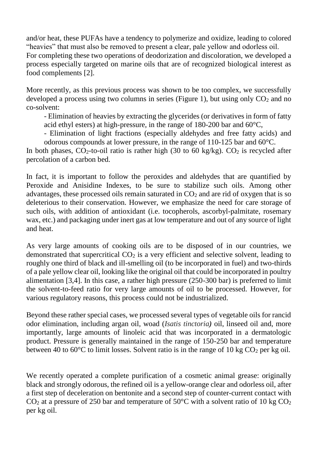and/or heat, these PUFAs have a tendency to polymerize and oxidize, leading to colored "heavies" that must also be removed to present a clear, pale yellow and odorless oil. For completing these two operations of deodorization and discoloration, we developed a process especially targeted on marine oils that are of recognized biological interest as food complements [2].

More recently, as this previous process was shown to be too complex, we successfully developed a process using two columns in series (Figure 1), but using only  $CO<sub>2</sub>$  and no co-solvent:

- Elimination of heavies by extracting the glycerides (or derivatives in form of fatty acid ethyl esters) at high-pressure, in the range of 180-200 bar and 60°C,

- Elimination of light fractions (especially aldehydes and free fatty acids) and odorous compounds at lower pressure, in the range of 110-125 bar and 60°C.

In both phases,  $CO_2$ -to-oil ratio is rather high (30 to 60 kg/kg).  $CO_2$  is recycled after percolation of a carbon bed.

In fact, it is important to follow the peroxides and aldehydes that are quantified by Peroxide and Anisidine Indexes, to be sure to stabilize such oils. Among other advantages, these processed oils remain saturated in  $CO<sub>2</sub>$  and are rid of oxygen that is so deleterious to their conservation. However, we emphasize the need for care storage of such oils, with addition of antioxidant (i.e. tocopherols, ascorbyl-palmitate, rosemary wax, etc.) and packaging under inert gas at low temperature and out of any source of light and heat.

As very large amounts of cooking oils are to be disposed of in our countries, we demonstrated that supercritical  $CO<sub>2</sub>$  is a very efficient and selective solvent, leading to roughly one third of black and ill-smelling oil (to be incorporated in fuel) and two-thirds of a pale yellow clear oil, looking like the original oil that could be incorporated in poultry alimentation [3,4]. In this case, a rather high pressure (250-300 bar) is preferred to limit the solvent-to-feed ratio for very large amounts of oil to be processed. However, for various regulatory reasons, this process could not be industrialized.

Beyond these rather special cases, we processed several types of vegetable oils for rancid odor elimination, including argan oil, woad (*Isatis tinctoria)* oil, linseed oil and, more importantly, large amounts of linoleic acid that was incorporated in a dermatologic product. Pressure is generally maintained in the range of 150-250 bar and temperature between 40 to 60 $\degree$ C to limit losses. Solvent ratio is in the range of 10 kg CO<sub>2</sub> per kg oil.

We recently operated a complete purification of a cosmetic animal grease: originally black and strongly odorous, the refined oil is a yellow-orange clear and odorless oil, after a first step of deceleration on bentonite and a second step of counter-current contact with  $CO<sub>2</sub>$  at a pressure of 250 bar and temperature of 50 $\degree$ C with a solvent ratio of 10 kg  $CO<sub>2</sub>$ per kg oil.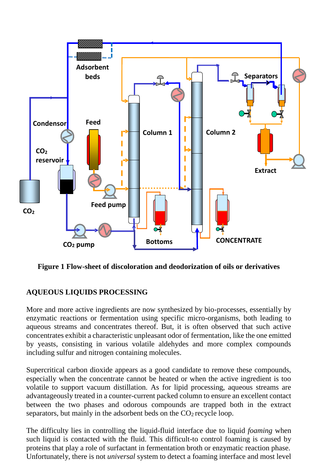

**Figure 1 Flow-sheet of discoloration and deodorization of oils or derivatives**

## **AQUEOUS LIQUIDS PROCESSING**

More and more active ingredients are now synthesized by bio-processes, essentially by enzymatic reactions or fermentation using specific micro-organisms, both leading to aqueous streams and concentrates thereof. But, it is often observed that such active concentrates exhibit a characteristic unpleasant odor of fermentation, like the one emitted by yeasts, consisting in various volatile aldehydes and more complex compounds including sulfur and nitrogen containing molecules.

Supercritical carbon dioxide appears as a good candidate to remove these compounds, especially when the concentrate cannot be heated or when the active ingredient is too volatile to support vacuum distillation. As for lipid processing, aqueous streams are advantageously treated in a counter-current packed column to ensure an excellent contact between the two phases and odorous compounds are trapped both in the extract separators, but mainly in the adsorbent beds on the  $CO<sub>2</sub>$  recycle loop.

The difficulty lies in controlling the liquid-fluid interface due to liquid *foaming* when such liquid is contacted with the fluid. This difficult-to control foaming is caused by proteins that play a role of surfactant in fermentation broth or enzymatic reaction phase. Unfortunately, there is not *universal* system to detect a foaming interface and most level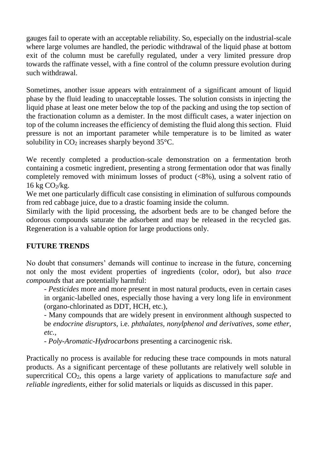gauges fail to operate with an acceptable reliability. So, especially on the industrial-scale where large volumes are handled, the periodic withdrawal of the liquid phase at bottom exit of the column must be carefully regulated, under a very limited pressure drop towards the raffinate vessel, with a fine control of the column pressure evolution during such withdrawal.

Sometimes, another issue appears with entrainment of a significant amount of liquid phase by the fluid leading to unacceptable losses. The solution consists in injecting the liquid phase at least one meter below the top of the packing and using the top section of the fractionation column as a demister. In the most difficult cases, a water injection on top of the column increases the efficiency of demisting the fluid along this section. Fluid pressure is not an important parameter while temperature is to be limited as water solubility in  $CO<sub>2</sub>$  increases sharply beyond 35 $°C$ .

We recently completed a production-scale demonstration on a fermentation broth containing a cosmetic ingredient, presenting a strong fermentation odor that was finally completely removed with minimum losses of product (<8%), using a solvent ratio of  $16 \text{ kg } CO_2/\text{kg}$ .

We met one particularly difficult case consisting in elimination of sulfurous compounds from red cabbage juice, due to a drastic foaming inside the column.

Similarly with the lipid processing, the adsorbent beds are to be changed before the odorous compounds saturate the adsorbent and may be released in the recycled gas. Regeneration is a valuable option for large productions only.

#### **FUTURE TRENDS**

No doubt that consumers' demands will continue to increase in the future, concerning not only the most evident properties of ingredients (color, odor), but also *trace compounds* that are potentially harmful:

- *Pesticides* more and more present in most natural products, even in certain cases in organic-labelled ones, especially those having a very long life in environment (organo-chlorinated as DDT, HCH, etc.),

- Many compounds that are widely present in environment although suspected to be *endocrine disruptors*, i.e. *phthalates, nonylphenol and derivatives, some ether, etc.,*

- *Poly-Aromatic-Hydrocarbons* presenting a carcinogenic risk.

Practically no process is available for reducing these trace compounds in mots natural products. As a significant percentage of these pollutants are relatively well soluble in supercritical CO2, this opens a large variety of applications to manufacture *safe* and *reliable ingredients*, either for solid materials or liquids as discussed in this paper.